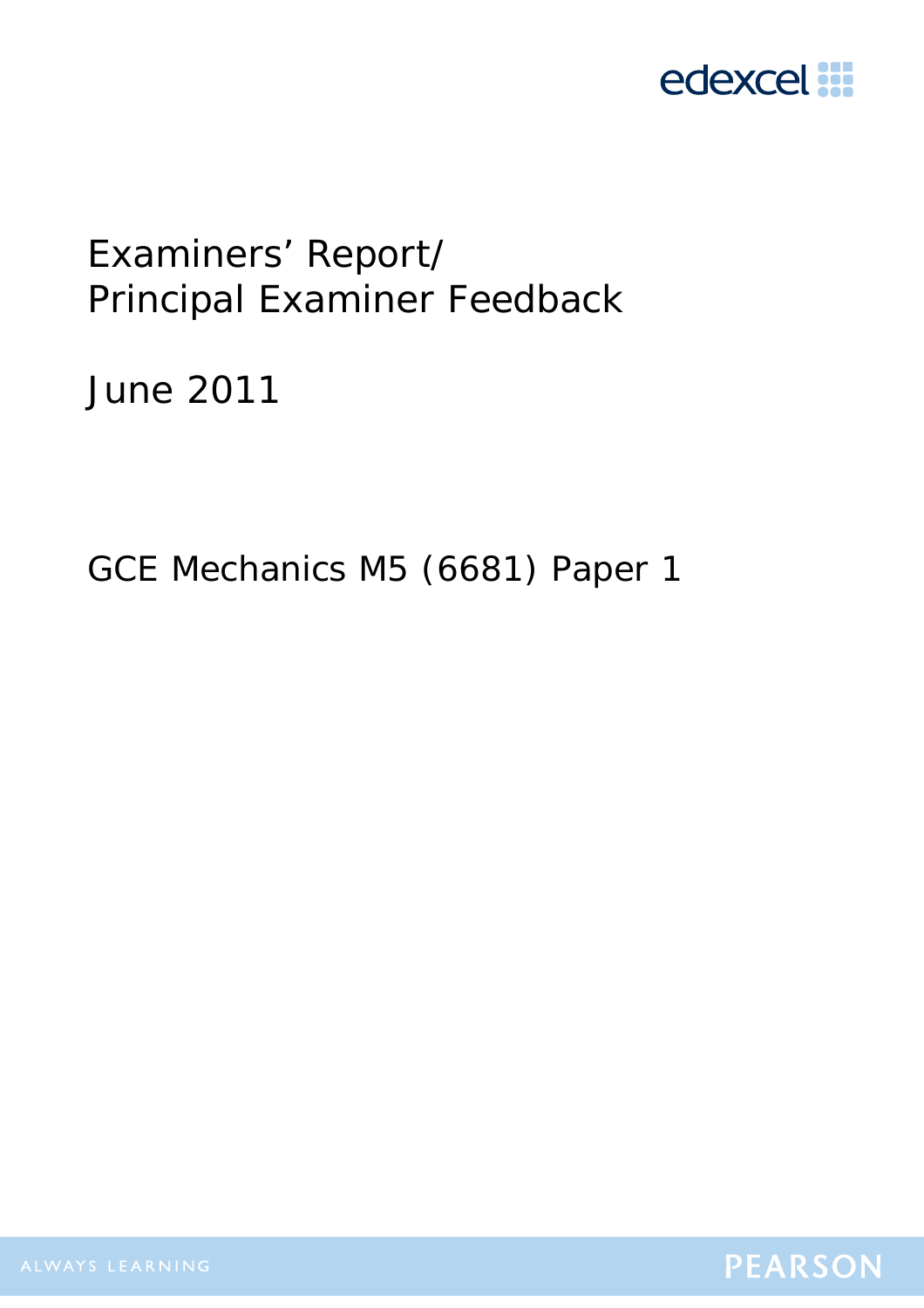

# Examiners' Report/ Principal Examiner Feedback

June 2011

GCE Mechanics M5 (6681) Paper 1

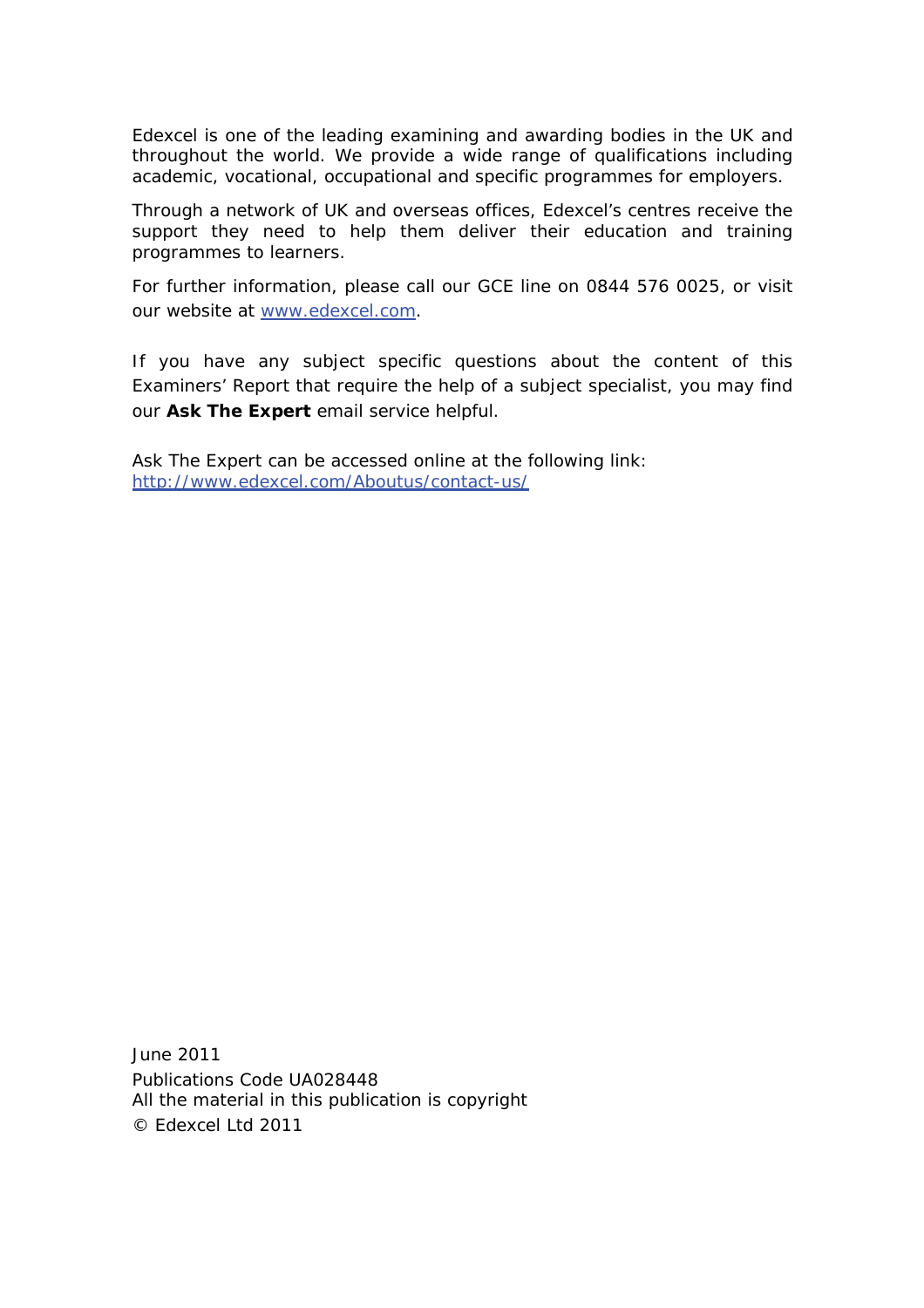Edexcel is one of the leading examining and awarding bodies in the UK and throughout the world. We provide a wide range of qualifications including academic, vocational, occupational and specific programmes for employers.

Through a network of UK and overseas offices, Edexcel's centres receive the support they need to help them deliver their education and training programmes to learners.

For further information, please call our GCE line on 0844 576 0025, or visit our website at www.edexcel.com.

If you have any subject specific questions about the content of this Examiners' Report that require the help of a subject specialist, you may find our **Ask The Expert** email service helpful.

Ask The Expert can be accessed online at the following link: http://www.edexcel.com/Aboutus/contact-us/

June 2011 Publications Code UA028448 All the material in this publication is copyright © Edexcel Ltd 2011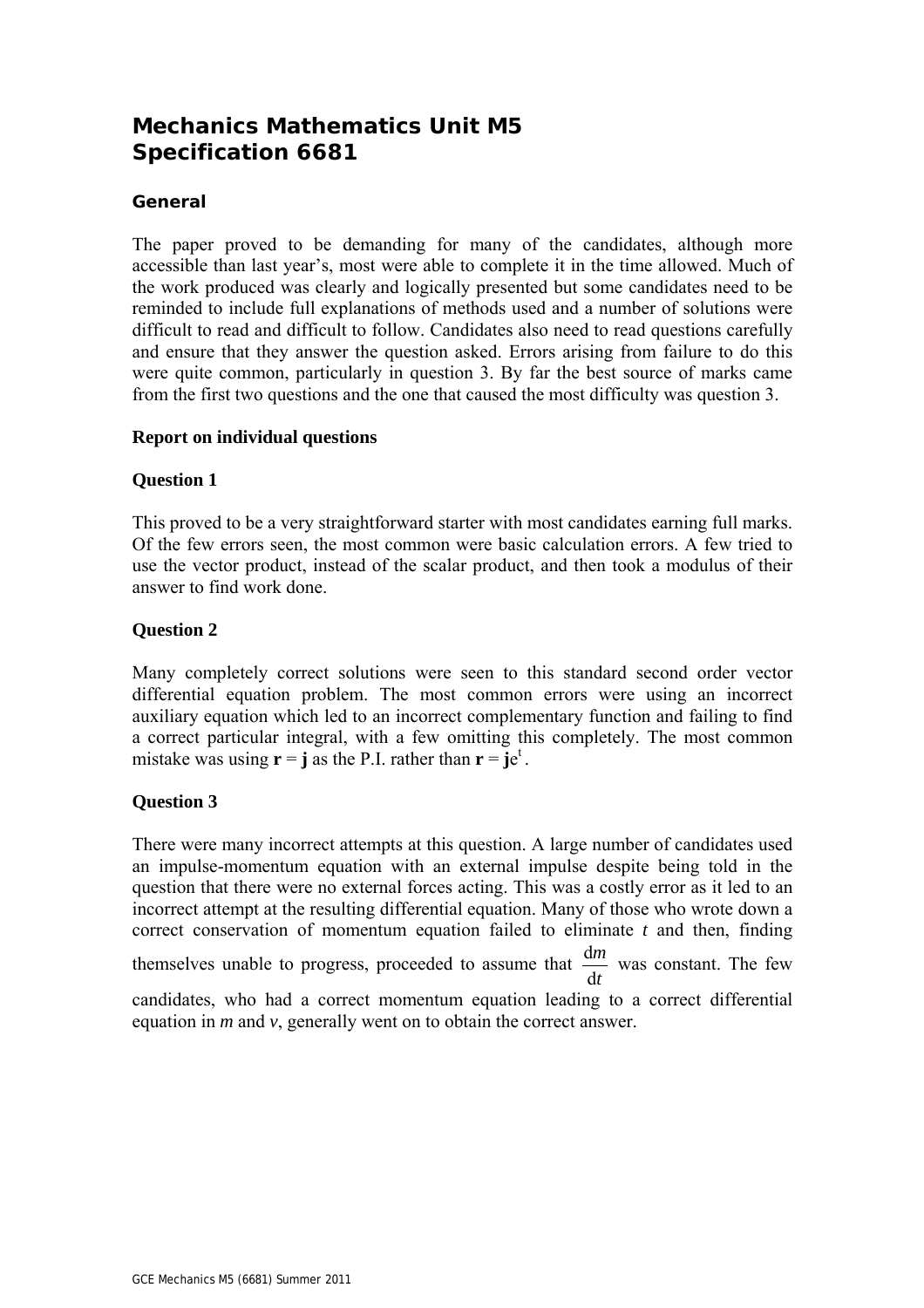# **Mechanics Mathematics Unit M5 Specification 6681**

## **General**

The paper proved to be demanding for many of the candidates, although more accessible than last year's, most were able to complete it in the time allowed. Much of the work produced was clearly and logically presented but some candidates need to be reminded to include full explanations of methods used and a number of solutions were difficult to read and difficult to follow. Candidates also need to read questions carefully and ensure that they answer the question asked. Errors arising from failure to do this were quite common, particularly in question 3. By far the best source of marks came from the first two questions and the one that caused the most difficulty was question 3.

#### **Report on individual questions**

#### **Question 1**

This proved to be a very straightforward starter with most candidates earning full marks. Of the few errors seen, the most common were basic calculation errors. A few tried to use the vector product, instead of the scalar product, and then took a modulus of their answer to find work done.

#### **Question 2**

Many completely correct solutions were seen to this standard second order vector differential equation problem. The most common errors were using an incorrect auxiliary equation which led to an incorrect complementary function and failing to find a correct particular integral, with a few omitting this completely. The most common mistake was using  $\mathbf{r} = \mathbf{j}$  as the P.I. rather than  $\mathbf{r} = \mathbf{j}e^t$ .

### **Question 3**

There were many incorrect attempts at this question. A large number of candidates used an impulse-momentum equation with an external impulse despite being told in the question that there were no external forces acting. This was a costly error as it led to an incorrect attempt at the resulting differential equation. Many of those who wrote down a correct conservation of momentum equation failed to eliminate *t* and then, finding themselves unable to progress, proceeded to assume that *t m* d  $\frac{dm}{dt}$  was constant. The few candidates, who had a correct momentum equation leading to a correct differential equation in *m* and *v*, generally went on to obtain the correct answer.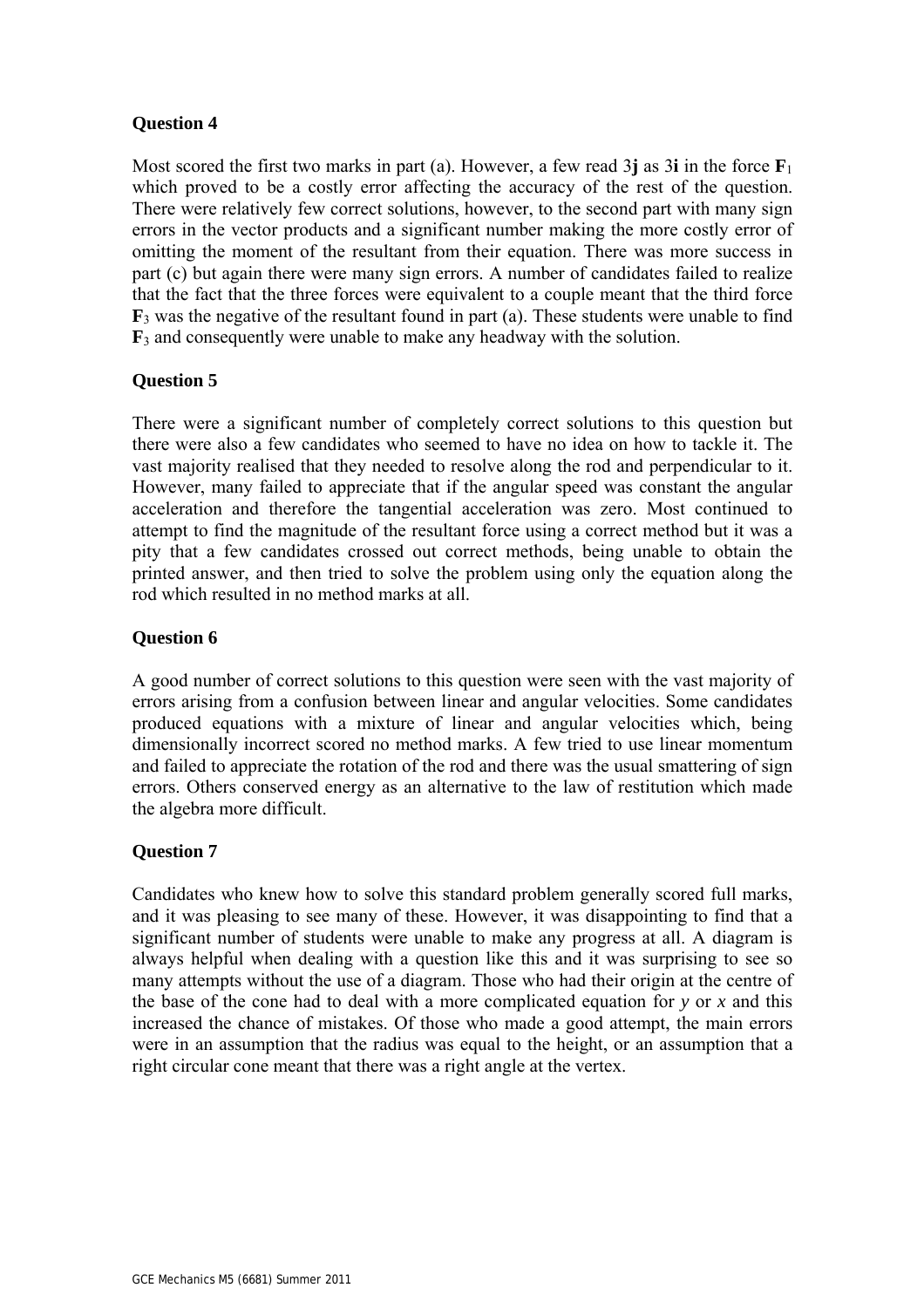## **Question 4**

Most scored the first two marks in part (a). However, a few read  $3\mathbf{j}$  as  $3\mathbf{i}$  in the force  $\mathbf{F}_1$ which proved to be a costly error affecting the accuracy of the rest of the question. There were relatively few correct solutions, however, to the second part with many sign errors in the vector products and a significant number making the more costly error of omitting the moment of the resultant from their equation. There was more success in part (c) but again there were many sign errors. A number of candidates failed to realize that the fact that the three forces were equivalent to a couple meant that the third force  $\mathbf{F}_3$  was the negative of the resultant found in part (a). These students were unable to find **F**3 and consequently were unable to make any headway with the solution.

# **Question 5**

There were a significant number of completely correct solutions to this question but there were also a few candidates who seemed to have no idea on how to tackle it. The vast majority realised that they needed to resolve along the rod and perpendicular to it. However, many failed to appreciate that if the angular speed was constant the angular acceleration and therefore the tangential acceleration was zero. Most continued to attempt to find the magnitude of the resultant force using a correct method but it was a pity that a few candidates crossed out correct methods, being unable to obtain the printed answer, and then tried to solve the problem using only the equation along the rod which resulted in no method marks at all.

# **Question 6**

A good number of correct solutions to this question were seen with the vast majority of errors arising from a confusion between linear and angular velocities. Some candidates produced equations with a mixture of linear and angular velocities which, being dimensionally incorrect scored no method marks. A few tried to use linear momentum and failed to appreciate the rotation of the rod and there was the usual smattering of sign errors. Others conserved energy as an alternative to the law of restitution which made the algebra more difficult.

### **Question 7**

Candidates who knew how to solve this standard problem generally scored full marks, and it was pleasing to see many of these. However, it was disappointing to find that a significant number of students were unable to make any progress at all. A diagram is always helpful when dealing with a question like this and it was surprising to see so many attempts without the use of a diagram. Those who had their origin at the centre of the base of the cone had to deal with a more complicated equation for *y* or *x* and this increased the chance of mistakes. Of those who made a good attempt, the main errors were in an assumption that the radius was equal to the height, or an assumption that a right circular cone meant that there was a right angle at the vertex.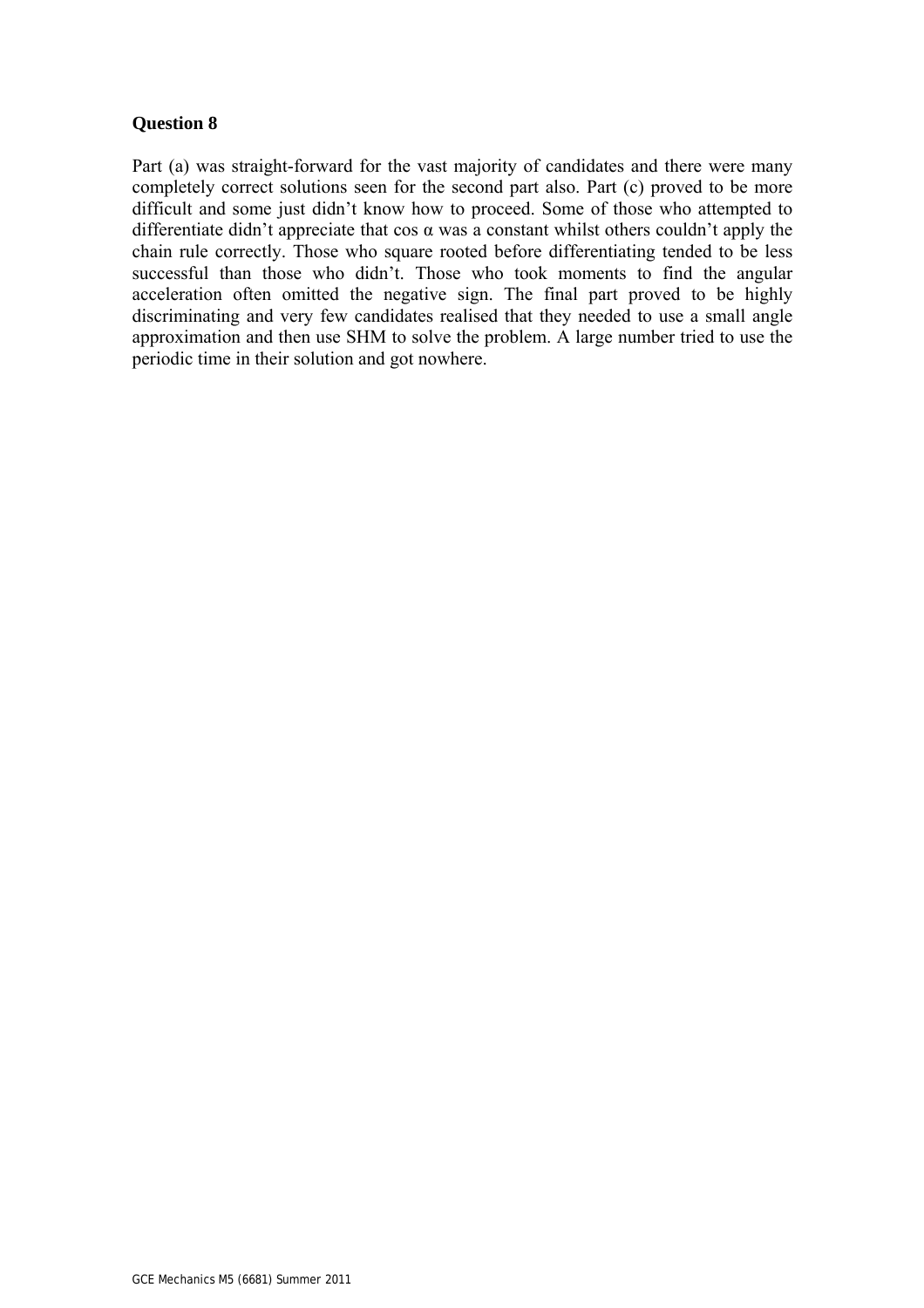#### **Question 8**

Part (a) was straight-forward for the vast majority of candidates and there were many completely correct solutions seen for the second part also. Part (c) proved to be more difficult and some just didn't know how to proceed. Some of those who attempted to differentiate didn't appreciate that cos  $\alpha$  was a constant whilst others couldn't apply the chain rule correctly. Those who square rooted before differentiating tended to be less successful than those who didn't. Those who took moments to find the angular acceleration often omitted the negative sign. The final part proved to be highly discriminating and very few candidates realised that they needed to use a small angle approximation and then use SHM to solve the problem. A large number tried to use the periodic time in their solution and got nowhere.